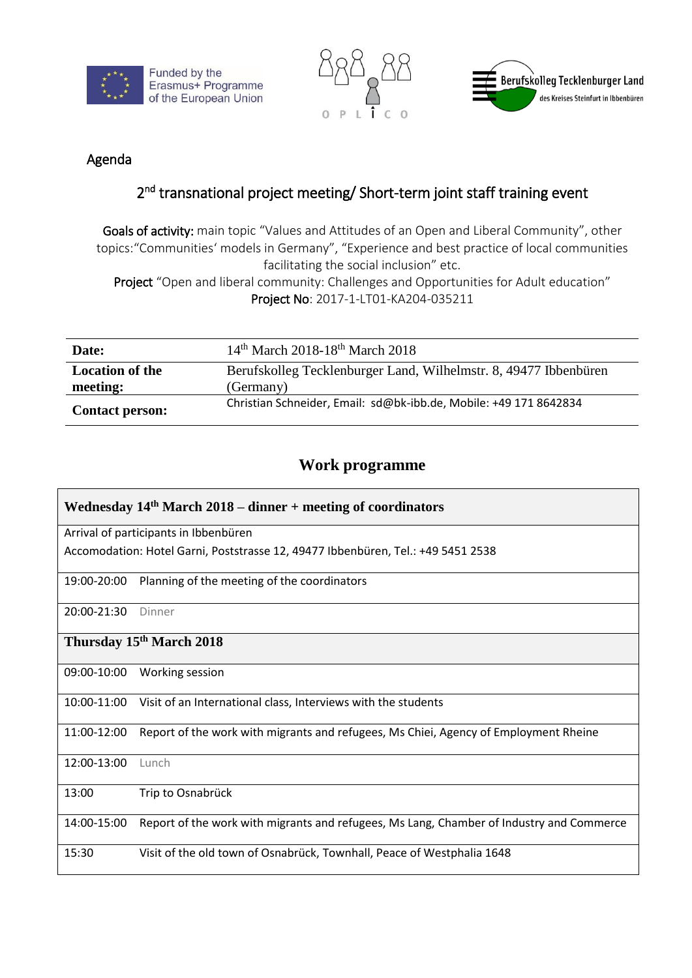





## Agenda

## 2<sup>nd</sup> transnational project meeting/ Short-term joint staff training event

Goals of activity: main topic "Values and Attitudes of an Open and Liberal Community", other topics:"Communities' models in Germany", "Experience and best practice of local communities facilitating the social inclusion" etc.

Project "Open and liberal community: Challenges and Opportunities for Adult education" Project No: 2017-1-LT01-KA204-035211

| Date:                              | 14 <sup>th</sup> March 2018-18 <sup>th</sup> March 2018                       |
|------------------------------------|-------------------------------------------------------------------------------|
| <b>Location of the</b><br>meeting: | Berufskolleg Tecklenburger Land, Wilhelmstr. 8, 49477 Ibbenbüren<br>(Germany) |
| <b>Contact person:</b>             | Christian Schneider, Email: sd@bk-ibb.de, Mobile: +49 171 8642834             |

## **Work programme**

| Wednesday $14th$ March 2018 – dinner + meeting of coordinators                                          |  |  |
|---------------------------------------------------------------------------------------------------------|--|--|
| Arrival of participants in Ibbenbüren                                                                   |  |  |
| Accomodation: Hotel Garni, Poststrasse 12, 49477 Ibbenbüren, Tel.: +49 5451 2538                        |  |  |
| 19:00-20:00<br>Planning of the meeting of the coordinators                                              |  |  |
| 20:00-21:30<br>Dinner                                                                                   |  |  |
| Thursday 15 <sup>th</sup> March 2018                                                                    |  |  |
| 09:00-10:00<br>Working session                                                                          |  |  |
| 10:00-11:00<br>Visit of an International class, Interviews with the students                            |  |  |
| 11:00-12:00<br>Report of the work with migrants and refugees, Ms Chiei, Agency of Employment Rheine     |  |  |
| 12:00-13:00<br>Lunch                                                                                    |  |  |
| Trip to Osnabrück<br>13:00                                                                              |  |  |
| Report of the work with migrants and refugees, Ms Lang, Chamber of Industry and Commerce<br>14:00-15:00 |  |  |
| 15:30<br>Visit of the old town of Osnabrück, Townhall, Peace of Westphalia 1648                         |  |  |